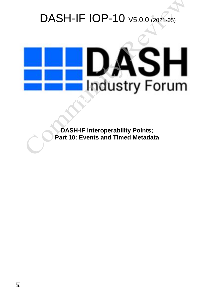# DASH-IF IOP-10 V5.0.0 (2021-05)



**DASH-IF Interoperability Points; Part 10: Events and Timed Metadata**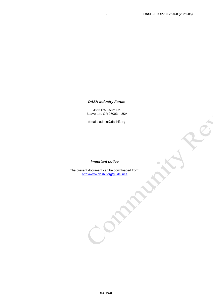$\frac{1}{2}$ 

#### *DASH Industry Forum*

3855 SW 153rd Dr. Beaverton, OR 97003 - USA

Email : admin@dashif.org

#### *Important notice*

The present document can be downloaded from: <http://www.dashif.org/guidelines>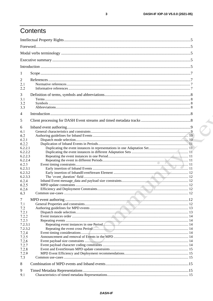## Contents

| $\mathbf{1}$                                                                                                                  |  |  |
|-------------------------------------------------------------------------------------------------------------------------------|--|--|
| 2<br>2.1<br>2.2                                                                                                               |  |  |
| 3<br>3.1<br>3.2<br>3.3                                                                                                        |  |  |
| 4                                                                                                                             |  |  |
| 5                                                                                                                             |  |  |
| 6<br>6.1<br>6.2<br>6.2.1<br>6.2.2<br>6.2.2.1<br>6.2.2.2<br>6.2.2.3<br>6.2.2.4<br>6.2.3<br>6.2.3.1                             |  |  |
| 6.2.3.2<br>6.2.3.3<br>6.2.4<br>6.2.5<br>6.2.6<br>6.3                                                                          |  |  |
| 7<br>7.1<br>7.2<br>7.2.1<br>7.2.2<br>7.2.3<br>7.2.3.1<br>7.2.3.2<br>7.2.4<br>7.2.5<br>7.2.6<br>7.2.7<br>7.2.8<br>7.2.9<br>7.3 |  |  |
| 8<br>9                                                                                                                        |  |  |
| 9.1                                                                                                                           |  |  |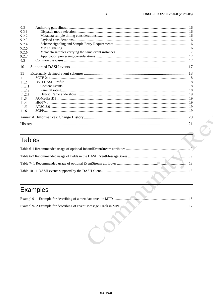| 9.2    |  |
|--------|--|
| 9.2.1  |  |
| 9.2.2  |  |
| 9.2.3  |  |
| 9.2.4  |  |
| 9.2.5  |  |
| 9.2.6  |  |
| 9.2.7  |  |
| 9.3    |  |
| 10     |  |
| 11     |  |
| 11.1   |  |
| 11.2   |  |
| 11.2.1 |  |
| 11.2.2 |  |
| 11.2.3 |  |
| 11.3   |  |
| 11.4   |  |
| 11.5   |  |
| 11.6   |  |
|        |  |
|        |  |

## Tables

## Examples

Com

 $\overline{\mathbf{4}}$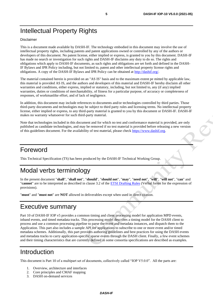## Intellectual Property Rights

#### Disclaimer

This is a document made available by DASH-IF. The technology embodied in this document may involve the use of intellectual property rights, including patents and patent applications owned or controlled by any of the authors or developers of this document. No patent license, either implied or express, is granted to you by this document. DASH-IF has made no search or investigation for such rights and DASH-IF disclaims any duty to do so. The rights and obligations which apply to DASH-IF documents, as such rights and obligations are set forth and defined in the DASH-IF Bylaws and IPR Policy including, but not limited to, patent and other intellectual property license rights and obligations. A copy of the DASH-IF Bylaws and IPR Policy can be obtained at [http://dashif.org/.](http://dashif.org/)

The material contained herein is provided on an "AS IS" basis and to the maximum extent pe mitted by applicable law, this material is provided AS IS, and the authors and developers of this material and DASH-IF hereby disclaim all other warranties and conditions, either express, implied or statutory, including, but not limited to, any (if any) implied warranties, duties or conditions of merchantability, of fitness for a particular purpose, of accuracy or completeness of responses, of workmanlike effort, and of lack of negligence.

In addition, this document may include references to documents and/or technologies controlled by third parties. Those third-party documents and technologies may be subject to third party rules and licensing terms. No intellectual property license, either implied or express, to any third-party material is granted to you by this document or DASH-IF. DASH-IF makes no warranty whatsoever for such third-party material.

Note that technologies included in this document and for which no test and conformance material is provided, are only published as candidate technologies, and may be removed if no test material is provided before releasing a new version of this guidelines document. For the availability of test material, please check [https://www.dashif.org.](https://www.dashif.org/)

## Foreword

This Technical Specification (TS) has been produced by the DASH-IF Technical Working Group.

## Modal verbs terminology

In the present document "**shall**", "**shall not**", "**should**", "**should not**", "**may**", "**need not**", "**will**", "**will not**", "**can**" and "**cannot**" are to be interpreted as described in clause 3.2 of the [ETSI Drafting Rules](https://portal.etsi.org/Services/editHelp!/Howtostart/ETSIDraftingRules.aspx) (Verbal forms for the expression of provisions).

"**must**" and "**must not**" are **NOT** allowed in deliverables except when used in direct citation.

## Executive summary

Part 10 of DASH-IF IOP v5 provides a common timing and client processing model for application MPD events, inband events, and timed metadata tracks. This processing model describes a timing model for the DASH client to process and use a common processing pipeline to parse the event and metadata instances, and dispatch them to the Application. This part also includes a sample API for applications to subscribe to one or more event and/or timed metadata schemes. Additionally, this part provides authoring guidelines and best practices for using the DASH events and metadata tracks to carry application-specific sparse events through the DASH client. Finally, a few event schemes and their timing characteristics that are currently defined in some consortia specifications are described as examples.

## Introduction

This document is Part 10 of a multipart set of documents, collectively called "IOP V5.0.0". All the parts are:

- 1. Overview, architecture and interfaces
- 2. Core principles and CMAF mapping
- 3. DASH on-demand services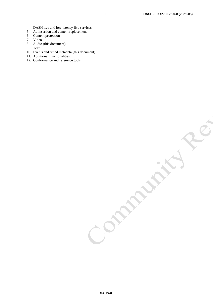- 5. Ad insertion and content replacement
- 6. Content protection
- 7. Video
- 8. Audio (this document)
- 9. Text
- 10. Events and timed metadata (this document)
- 11. Additional functionalities
- 12. Conformance and reference tools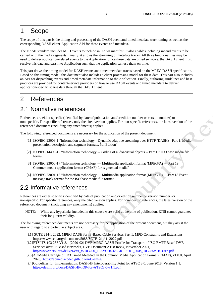## 1 Scope

The scope of this part is the timing and processing of the DASH event and timed metadata track timing as well as the corresponding DASH client-Application API for these events and metadata.

The DASH standard includes MPD events to include in DASH manifest. It also enables including inband events to be carried with the media segments. Finally, it allows the streaming of metadata tracks. All three functionalities may be used to deliver application-related events to the Application. Since these data are timed sensitive, the DASH client must receive this data and pass it to Application such that the application can use them on time.

This part draws the timing model for DASH events and timed metadata tracks based on the MPEG DASH specification. Based on this timing model, this document also includes a client processing model for these data. This part also includes an API for dispatching events and timed metadata information to the Application. Finally, authoring guidelines and best practices are provided for content/service providers on how to use DASH events and timed metadata to deliver application-specific sparse data through the DASH client.

## 2 References

## 2.1 Normative references

References are either specific (identified by date of publication and/or edition number or version number) or non-specific. For specific references, only the cited version applies. For non-specific references, the latest version of the referenced document (including any amendments) applies.

The following referenced documents are necessary for the application of the present document.

- [1] ISO/IEC 23009-1 "Information technology Dynamic adaptive streaming over HTTP (DASH) Part 1: Media presentation description and segment formats, 5th Edition"
- [2] ISO/IEC 14496-12 "Information technology -- Coding of audio-visual objects -- Part 12: ISO base media file format"
- [3] ISO/IEC 23000-19 "Information technology Multimedia application format (MPEG-A) Part 19 Common media application format (CMAF) for segmented media"
- [4] ISO/IEC 23001-18 "Information technology Multimedia application format (MPEG-B) Part 18 Event message track format for the ISO base media file format

### 2.2 Informative references

References are either specific (identified by date of publication and/or edition number or version number) or non-specific. For specific references, only the cited version applies. For non-specific references, the latest version of the referenced document (including any amendments) applies.

NOTE: While any hyperlinks included in this clause were valid at the time of publication, ETSI cannot guarantee their long-term validity.

The following referenced documents are not necessary for the application of the present document, but they assist the user with regard to a particular subject area.

- [i.1] SCTE 214-1 2022, MPEG DASH for IP-Based Cable Services Part 1: MPD Constraints and Extensions, https://www.scte.org/documents/5085/SCTE\_214-1\_2022.pdf
- [i.2]ETSI TS 103 285 V1.3.1 (2020-02) DVB MPEG-DASH Profile for Transport of ISO BMFF Based DVB Services over IP Based Networks, DVB Document A168 Rev.4, November 2021, [https://www.etsi.org/deliver/etsi\\_ts/103200\\_103299/103285/01.03.01\\_60/ts\\_103285v010301p.pdf](https://www.etsi.org/deliver/etsi_ts/103200_103299/103285/01.03.01_60/ts_103285v010301p.pdf)
- [i.3]AOMedia Carriage of ID3 Timed Metadata in the Common Media Application Format (CMAF), v1.0.0, April 2020, <https://aomediacodec.github.io/id3-emsg/>
- [i.4]Guidelines for Implementation: DASH-IF Interoperability Point for ATSC 3.0, June 2018, Version 1.1, <https://dashif.org/docs/DASH-IF-IOP-for-ATSC3-0-v1.1.pdf>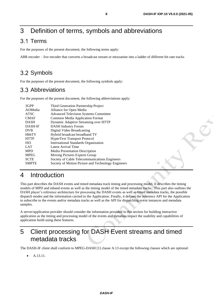## 3 Definition of terms, symbols and abbreviations

## 3.1 Terms

For the purposes of the present document, the following terms apply:

ABR encoder – live encoder that converts a broadcast stream or mezzanine into a ladder of different bit-rate tracks

## 3.2 Symbols

For the purposes of the present document, the following symbols apply:

## 3.3 Abbreviations

For the purposes of the present document, the following abbreviations apply:

| 3GPP           | Third Generation Partnership Project               |
|----------------|----------------------------------------------------|
| AOMedia        | Alliance for Open Media                            |
| <b>ATSC</b>    | <b>Advanced Television Systems Committee</b>       |
| <b>CMAF</b>    | <b>Common Media Application Format</b>             |
| <b>DASH</b>    | Dynamic Adaptive Streaming over HTTP               |
| <b>DASH-IF</b> | <b>DASH</b> Industry Forum                         |
| <b>DVB</b>     | Digital Video Broadcasting                         |
| <b>HbbTV</b>   | Hybrid broadcast broadband TV                      |
| <b>HTTP</b>    | <b>HyperText Transport Protocol</b>                |
| <b>ISO</b>     | International Standards Organization               |
| LAT            | Latest Arrival Time                                |
| <b>MPD</b>     | <b>Media Presentation Description</b>              |
| <b>MPEG</b>    | Moving Pictures Experts Group                      |
| <b>SCTE</b>    | Society of Cable Telecommunications Engineers      |
| <b>SMPTE</b>   | Society of Motion Picture and Technology Engineers |
|                |                                                    |

## 4 Introduction

This part describes the DASH events and timed metadata track timing and processing model. It describes the timing models of MPD and inband events as well as the timing model of the timed metadata tracks. This part also outlines the DASH player's reference architecture for processing the DASH events as well as timed metadata tracks, the possible dispatch modes and the information carried to the Application. Finally, it defines the reference API for the Application to subscribe to the events and/or metadata tracks as well as the API for dispatching event instances and metadata samples.

A server/application provider should consider the information provided in this section for building interactive application as the timing and processing model of the events and metadata impact the usability and capabilities of application build using these features.

## 5 Client processing for DASH Event streams and timed metadata tracks

The DASH-IF client shall conform to MPEG-DASH [1] clause A.13 except the following clauses which are optional:

• A.13.11.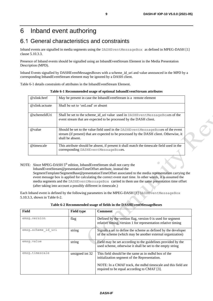## 6 Inband event authoring

## 6.1 General characteristics and constraints

Inband events are signalled in media segments using the DASHEventMessageBox as defined in MPEG-DASH [1] clause 5.10.3.3.

Presence of Inband events should be signalled using an InbandEventStream Element in the Media Presentation Description (MPD).

Inband Events signalled by DASHEventMessagesBoxes with a scheme\_id\_uri and value announced in the MPD by a corresponding InbandEventStream element may be ignored by a DASH client.

<span id="page-8-0"></span>Table 6-1 details constraints of attributes in the InbandEventStream Element.

| $@xlink:$ href  | May be present in case the InbandEventStream is a remote element                                                                                                                               |
|-----------------|------------------------------------------------------------------------------------------------------------------------------------------------------------------------------------------------|
| @xlink:actuate  | Shall be set to 'onLoad' or absent                                                                                                                                                             |
| $@$ schemeIdUri | Shall be set to the scheme_id_uri value used in DASHEventMessageBoxes of the<br>event stream that are expected to be processed by the DASH client.                                             |
| @value          | Should be set to the value field used in the DASHEventMessageBoxes of the event<br>stream (if present) that are expected to be processed by the DASH client. Otherwise, it<br>shall be absent. |
| @timescale      | This attribute should be absent, if present it shall match the timescale field used in the<br>corresponding DASHEventMessageBoxes.                                                             |

**Table 6-1 Recommended usage of optional InbandEventStream attributes**

NOTE: Since MPEG-DASH 5<sup>th</sup> edition, InbandEventStream shall not carry the InbandEventStream@presentationTimeOffset attribute, instead the SegmentTemplate/SegmentBase@presentationTimeOffset associated to the media representation carrying the event message box is applied for calculating the correct event start time. In other words, it is assumed the media segments and the DASHEventMessageBox carried in them use the same presentation time offset (after taking into account a possibly different in timescale.)

Each Inband event is defined by the following parameters in the MPEG-DASH [1] DASHEventMessageBox 5.10.3.3, shown in Table 6-2.

| Table 6-2 Recommended usage of fields in the DASHEventMessageBoxes |  |  |
|--------------------------------------------------------------------|--|--|
|                                                                    |  |  |

<span id="page-8-1"></span>

| Field              | <b>Field type</b> | <b>Comment</b>                                                                                                                |
|--------------------|-------------------|-------------------------------------------------------------------------------------------------------------------------------|
| emsq.version       | flag              | Defined by the version flag, version $0$ is used for segment<br>relative timing, version 1 for representation relative timing |
| emsg.scheme id uri | string            | Signals a uri to define the scheme as defined by the developer<br>of the scheme (which may be another external organization)  |
| emsq.value         | string            | Field may be set according to the guidelines provided by the<br>used scheme, otherwise it shall be set to the empty string    |
| emsq.timescale     | unsigned int 32   | This field should be the same as in mdhd box of the<br>initialization segment of the Representation.                          |
|                    |                   | NOTE: In a CMAF track, the mdhd timescale and this field are<br>required to be equal according to CMAF [3].                   |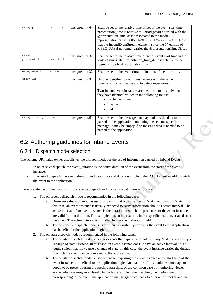| emsg.presentation time           | unsigned int 64 | Shall be set to the relative time offset of the event start time.<br>presentation_time is relative to Period@start adjusted with the<br>@presentationTimeOffset associated to the media<br>representation carrying the DASHEventMessageBox. Note<br>that the InbandEventStream element, since the 5 <sup>th</sup> edition of<br>MPEG-DASH no longer carries the @presentationTimeOffset |
|----------------------------------|-----------------|-----------------------------------------------------------------------------------------------------------------------------------------------------------------------------------------------------------------------------------------------------------------------------------------------------------------------------------------------------------------------------------------|
| emsq.<br>presentation time delta | unsigned int 32 | Shall be set to the relative time offset of event start time in the<br>scale of timescale. Presentation_time_delta is relative to the<br>segment's earliest presentation time.                                                                                                                                                                                                          |
| emsg.event duration              | unsigned int 32 | Shall be set to the event duration in units of the timescale.                                                                                                                                                                                                                                                                                                                           |
| emsq.id                          | unsigned int 32 | Unique identifier to distinguish events with the same<br>scheme_id_uri and value and to detect repetitions.<br>Two Inband event instances are identified to be equivalent if<br>they have identical values in the following fields:<br>scheme_id_uri<br>value<br>id                                                                                                                     |
| emsg.message data                | unsigned int8[] | Shall be set to the message data payload, i.e. the data to be<br>passed to the application containing the scheme specific<br>message. It may be empty if no message data is needed to be<br>passed to the application.                                                                                                                                                                  |

## 6.2 Authoring guidelines for Inband Events

#### $6.2.1$ Dispatch mode selection

The scheme URI/value owner establishes the dispatch mode for the use of information carried by Inband Events:

- In on-receive dispatch, the event duration is the active duration of the event from the start of the event instance.
- In on-start dispatch, the event\_duration indicates the valid duration in which the DASH client would dispatch the event to the application.

Therefore, the recommendations for on-receive dispatch and on-start dispatch are as follows:

- 1. The on-receive dispatch mode is recommended in the following cases:
	- a. On-receive dispatch mode is used for events that typically have a "state" or convey a "state." In this case, an event instance is usually expected to carry information about its active interval. The active interval of an event instance is the duration in which the properties of the event instance are valid for that duration. For example, it is an interval in which a specific text is overlayed over the video. The active interval is signalled by the event\_duration field.
	- b. The on-receive dispatch mode is used whenever instantly exposing the event to the Application has benefits for the application logic.
- 2. The on-start dispatch mode is recommended in the following cases:
	- a. The on-start dispatch mode is used for events that typically do not have any "state" and convey a "change of state" instead. In this case, an event instance doesn't have an active interval. It is a toggle switch that may cause a change of state. In this case, the event instance carries the duration in which the event can be conveyed to the application.
	- b. The on-start dispatch mode is used whenever exposing the event instance at the start time of the event instance is beneficial to the application logic. An example of this could be a message or popup to be present during the specific start time, or the common case of monitoring viewer events when viewing an ad break. In the last example, when reaching the media time corresponding to the event, the application may trigger a callback to a server or tracker and the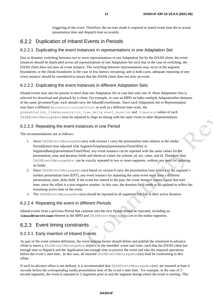triggering of the event. Therefore, the on-start mode is required to match event time the to actual presentation time and dispatch time accurately.

### 6.2.2 Duplication of Inband Events in Periods

#### 6.2.2.1 Duplicating the event instances in representations in one Adaptation Set

Due to dynamic switching between two or more representations in one Adaptation Set by the DASH client, the event instances should be duplicated across all representations of one Adaptation Set such that in the case of switching, the DASH client does not miss an event instance. The switching between representations may occur at the segment boundaries, or the chunk boundaries in the case of low latency streaming, and in both cases, adequate repeating of one event instance should be considered to assure that the DASH client does not miss an event.

#### 6.2.2.2 Duplicating the event instances in different Adaptation Sets

Inband events may also be present in more than one Adaptation Set in case that only one of those Adaptation Sets is selected for download and playback by a client. For example, in case an MPD includes multiple AdaptationSet elements of the same @contentType, each should carry the InbandEventStream. Since each Adaptation Set or Representation may have a different @presentationTimeOffset as well as a different time scale, the

presentation time/presentation time delta, event duration and timescale values of each DASHEventMessageBox must be adjusted to align its timing with the same event in other Representations.

#### 6.2.2.3 Repeating the event instances in one Period

The recommendations are as follows:

- 1. Since DASHEventMessageBox(es) with version 1 carry the presentation time relative to the media Period@start time adjusted with SegmentTemplate@presentationTimeOffset or SegmentBase@presentationTimeOffset, any event instance can be repeated with the same values for the presentation\_time and duration fields and identical values for scheme\_id\_uri, value, and id. Therefore, that DASHEventMessageBox can be exactly repeated in two or more segments, without any need for updating its fields.
- 2. Since DASHEventMessageBox(es) based on version 0 carry the presentation time relative to the segment's earliest presentation time (EPT), any event instance for repeating the same event must have a different presentation\_time\_delta field. If the event has started in the past, the event instance cannot signal that start time, since the offset is a non-negative number. In this case, the duration field needs to be updated to reflect the remaining active time of the event.
- 3. The DASHEventMessageBox(es) should be repeated in all segments that fall in their active duration.

#### 6.2.2.4 Repeating the event in different Periods

Inband events from a previous Period that continue into the next Period should be repeated, including an **InbandEventStream** element in the MPD and DASHEventMessageBoxes in the media segments.

#### 6.2.3 Event timing constraints

#### 6.2.3.1 Early insertion of Inband Events

As part of the event scheme definition, the event scheme owner should define and publish the minimum in-advance offset to insert a DASHEventMessageBox relative to the intended event start time, such that the DASH client has enough time to dispatch and the Application has enough time to process the event and take the required operations before the event's start time. In this case, all inserted DASHEventMessageBox(es) shall be conforming to this offset.

If such in-advance offset is not defined, it is recommended that DASHEventMessageBox(es) are inserted at least 4 seconds before the corresponding media presentation time of the event's start time. For example, in the case of 2 second segments, the event is repeated in 2 segments prior to and the segment during which the event is starting. This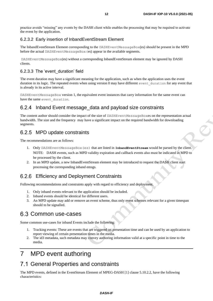practice avoids "missing" any events by the DASH client while enables the processing that may be required to activate the event by the application.

#### 6.2.3.2 Early insertion of InbandEventStream Element

The InbandEventStream Element corresponding to the DASHEventMessageBox(es) should be present in the MPD before the actual DASHEventMessageBox(es) appear in the available segments.

DASHEventMessageBox(es) without a corresponding InbandEventStream element may be ignored by DASH clients.

#### 6.2.3.3 The 'event\_duration' field

The event duration may have a significant meaning for the application, such as when the application uses the event duration in its logic. The repeated events when using version 0 may have different event duration for any event that is already in its active interval.

DASHEventMessageBox version 1, the equivalent event instances that carry information for the same event can have the same event duration.

### 6.2.4 Inband Event message\_data and payload size constraints

The content author should consider the impact of the size of DASHEventMessageBoxes on the representation actual bandwidth. The size and the frequency may have a significant impact on the required bandwidth for downloading segments.

### 6.2.5 MPD update constraints

The recommendations are as follows:

- 1. Only DASHEventMessageBox(es) that are listed in **InbandEventStream** would be parsed by the client. NOTE: DASH events, such as MPD validity expiration and callback events also must be indicated in MPD to be processed by the client.
- 2. In an MPD update, a new InbandEventStream element may be introduced to request the DASH client start processing the corresponding inband emsgs.

### Efficiency and Deployment Constraints

Following recommendations and constraints apply with regard to efficiency and deployment.

- 1. Only inband events relevant to the application should be included.
- 2. Inband events should be identical for different users.
- 3. An MPD update may add or remove an event scheme, thus only event schemes relevant for a given timespan should to be signalled.

### 6.3 Common use-cases

Some common use-cases for inband Events include the following:

- 1. Tracking events: These are events that are triggered on presentation time and can be used by an application to report viewing of certain presentation times in the media.
- 2. The id3 metadata, such metadata may convey authoring information valid at a specific point in time to the media.

## 7 MPD event authoring

### 7.1 General Properties and constraints

The MPD events, defined in the EventStream Element of MPEG-DASH [1] clause 5.10.2.2, have the following characteristics: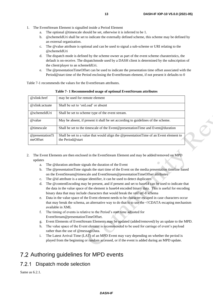- 1. The EventStream Element is signalled inside a Period Element
	- a. The optional @timescale should be set, otherwise it is inferred to be 1.
	- b. @schemeIdUri shall be set to indicate the externally defined scheme, this scheme may be defined by an external organization.
	- c. The @value attribute is optional and can be used to signal a sub-scheme or URI relating to the @schemeIdUri
	- d. The dispatch mode is defined by the scheme owner as part of the event scheme charateristics, the default is on-receive. The dispatchmode used by a DASH client is determined by the subscription of the client/player to an schemeIdUri.
	- e. The @presentationTimeOffset can be used to indicate the presentation time offset associated with the Period@start time of the Period enclosing the EventStream element, if not present it defaults to 0

Table 7-1 recommends the values for the EventStream attributes.

<span id="page-12-0"></span>

| $@xlink:$ href              | may be used for remote element                                                                            |
|-----------------------------|-----------------------------------------------------------------------------------------------------------|
| @xlink:actuate              | Shall be set to 'onLoad' or absent                                                                        |
| @schemeIdUri                | Shall be set to scheme type of the event stream.                                                          |
| @value                      | May be absent, if present it shall be set according to guidelines of the scheme.                          |
| @timescale                  | Shall be set to the timescale of the Event@presentationTime and Event@duration                            |
| @presentationTi<br>meOffset | Shall be set to a value that would align the @presentationTime of an Event element to<br>the Period@start |

**Table 7- 1 Recommended usage of optional EventStream attributes**

- 2. The Event Elements are then enclosed in the EventStream Element and may be added/removed on MPD updates
	- a. The @duration attribute signals the duration of the Event
	- b. The @presentationTime signals the start time of the Event on the media presentation timeline based on the EventStream@timescale and EventStream@presentationTimeOffset attributes
	- c. The @id attribute is a unique identifier, it can be used to detect duplicates
	- d. The @contentEncoding may be present, and if present and set to base64 can be used to indicate that the data in the value space of the element is base64 encoded binary data. This is useful for encoding binary data that may include characters that would break the xml utf-8 schema
	- e. Data in the value space of the Event element needs to be character escaped in case characters occur that may break the schema, an alternative way to do that is to use the <!CDATA escaping mechanism available in XML
	- f. The timing of events is relative to the Period's start time adjusted for EventStream@presentationTimeOffset.
	- g. Event Elements of EventStream Elements may be updated (added/removed) by an update to the MPD.
	- h. The value space of the Event element is recommended to be used for carriage of event's payload rather than the use of @messageData.
	- i. The Latest Arrival Time (LAT) of an MPD Event may vary depending on whether the period is played from the beginning or random accessed, or if the event is added during an MPD update.

## 7.2 Authoring guidelines for MPD events

#### 7.2.1 Dispatch mode selection

Same as 6.2.1.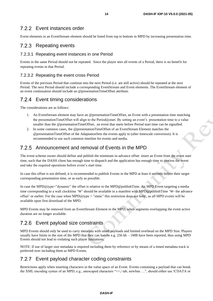### Event instances order

Event elements in an EventStream element should be listed from top to bottom in MPD by increasing presentation time.

## 7.2.3 Repeating events

#### 7.2.3.1 Repeating event instances in one Period

Events in the same Period should not be repeated. Since the player sees all events of a Period, there is no benefit for repeating events in that Period.

#### 7.2.3.2 Repeating the event cross Period

Events of the previous Period that continue into the next Period (i.e. are still active) should be repeated at the next Period. The next Period should include a corresponding EventStream and Event elements. The EventStream element of an event continuation should include an @presentationTimeOffset attribute.

### 7.2.4 Event timing considerations

The considerations are as follows:

- 1. An EventStream element may have an @presentationTimeOffset, an Event with a presentation time matching the presentationTimeOffset will align to the Period@start. By setting an event's presentation time to a value smaller than the @presentationTimeOffset, an event that starts before Period start time can be signalled.
- 2. In some common cases, the @presentationTimeOffset of an EventStream Element matches the @presentationTimeOffset of the AdaptationSets the events apply to (after timescale conversion). It is recommended to use such common timeline for events and media.

### Announcement and removal of Events in the MPD

The event scheme owner should define and publish the minimum in-advance offset insert an Event from the event start time, such that the DASH client has enough time to dispatch and the application has enough time to process the event and take the required operations before event's start time.

In case this offset is not defined, it is recommended to publish Events in the MPD at least 4 seconds before their target corresponding presentation time, or as early as possible.

In case the MPD@type="dynamic" the offset is relative to the MPD@publishTime. An MPD Event targeting a media time corresponding to a wall clocktime 'W' should be available in a manifest with MPD@publishTime 'W- the advance offset' or earlier. For the case when MPD@type = "static" this restriction does not hold , as all MPD events will be available upon first download of the MPD.

MPD Events may be removed from an EventStream Element in the MPD, when segments overlapping the event active duration are no longer available.

### 7.2.6 Event payload size constraints

MPD Events should only be used to carry metadata with small payloads and limited overhead on the MPD Size. Players usually have limits in the size of the MPD that they can handle e.g. 256 kb – 1MB have been reported, thus using MPD Events should not lead to violating such player limitations.

NOTE: If use of larger size metadata is required including them by reference or by means of a timed metadata track is preferred over including them as MPD Events.

### 7.2.7 Event payload character coding constraints

Restrictions apply when inserting characters in the value space of an Event. Events containing a payload that can break the XML encoding syntax of an MPD, e.g., unescaped characters " $\leq$ , tab, newline ...", should either use !CDATA or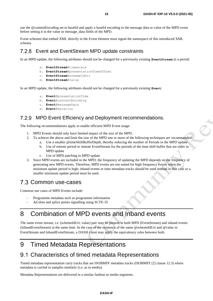use the @contentEncoding set to base64 and apply a base64 encoding to the message data or value of the MPD event before setting it in the value or message\_data fields of the MPD.

Event schemes that embed XML directly in the Event element must signal the namespace of this introduced XML schema.

### Event and EventStream MPD update constraints

In an MPD update, the following attributes should not be changed for a previously existing **EventStream** in a period:

- a. **EventStream**@timescale
- b. **EventStream**@presentationTimeOffset
- c. **EventStream**@schemeIdUri
- d. **EventStream**@value

In an MPD update, the following attributes should not be changed for a previously existing **Event**:

- a. **Event**@presentationTime
- b. **Event**@contentEncoding
- c. **Event**@messageData
- d. **Event**@duration

### 7.2.9 MPD Event Efficiency and Deployment recommendations.

The following recommendations apply to enable efficient MPD Event usage:

- 1. MPD Events should only have limited impact of the size of the MPD.
- 2. To achieve the above and limit the size of the MPD one or more of the following techniques are recommended:
	- a. Use a smaller @timeShiftBufferDepth, thereby reducing the number of Periods in the MPD update
	- b. Use of remote period or remote EventStream for the periods of the time shift buffer that are older in MPD update
	- c. Use of MPD patching in MPD update
- 3. Since MPD events are included in the MPD, the frequency of updating the MPD depends on the frequency of generating new MPD events. Therefore, MPD events are not suited for high-frequency events when the minimum update period is high; inband events or time metadata tracks should be used instead in that case or a smaller minimum update period must be used.

## 7.3 Common use-cases

Common use cases of MPD Events include:

- Programme metadata such as programme information
- Ad slots and splice points signalling using SCTE-35

## 8 Combination of MPD events and Inband events

The same event stream, i.e. (schemeIdUri, value) pair may be present in both MPD (EventStream) and inband events (InbandEventStream) at the same time. In the case of the existence of the same @schemeIdUri and @value in EventStream and InbandEventStream, a DASH client may apply the equivalency rules between both.

## 9 Timed Metadata Representations

## 9.1 Characteristics of timed metadata Representations

Timed metadata representation carry tracks that are ISOBMFF metadata tracks (ISOBMFF [2] clause 12.3) where metadata is carried in samples similarly (i.e. as in media).

Metadata Representations are delivered in a similar fashion as media segments.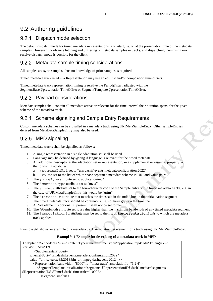## 9.2 Authoring guidelines

### 9.2.1 Dispatch mode selection

The default dispatch mode for timed metadata representations is on-start, i.e. on at the presentation time of the metadata samples. However, in-advance fetching and buffering of metadata samples in tracks, and dispatching them using onreceive dispatch mode is possible for the client.

### 9.2.2 Metadata sample timing considerations

All samples are sync-samples, thus no knowledge of prior samples is required.

Timed metadata track used in a Representation may use an edit list and/or composition time offsets.

Timed metadata track representation timing is relative the Period@start adjusted with the SegmentBase@presentationTimeOffset or SegmentTemplate@presentationTimeOffset.

### 9.2.3 Payload considerations

Metadata samples shall contain all metadata active or relevant for the time interval their duration spans, for the given scheme of the metadata track.

### 9.2.4 Scheme signaling and Sample Entry Requirements

Custom metadata schemes can be signalled in a metadata track using URIMetaSampleEntry. Other sampleEntries derived from MetaDataSampleEntry may also be used.

### 9.2.5 MPD signaling

Timed metadata tracks shall be signalled as follows:

- 1. A single representation in a single adaptation set shall be used.
- 2. Language may be defined by @lang if language is relevant for the timed metadata
- 3. An additional descriptor at the adaptation set or representation, in a supplemental or essential property, with the following attributes:
	- a. @schemeIdUri set to "urn:dashif:events:metadataconfiguration:2022"
	- b. @value set to the list of white space separated metadata scheme id URI and value pairs
- 4. The @mimeType attribute set to application/mp4
- 5. The @contentType attribute set to "meta"
- 6. The @codecs attribute set to the four-character code of the Sample entry of the timed metadata tracks, e.g. in the case of URIMetaSampleEntry this would be "urim".
- 7. The @timescale attribute that matches the timescale in the mdhd box in the initialization segment
- 8. The timed metadata track should be continuous, i.e. not have gaps on the timeline.
- 9. A Role element is optional, if present it shall not be set to main
- 10. The @bandwidth attribute set to a value higher than the maximum bandwidth of any timed metadata segment
- 11. The @associationId attribute may be set to the list of **Representation**@ids to which the metadata track applies.

Example 9-1 shows an example of a metadata track AdaptationSet element for a track using URIMetaSampleEntry.

#### **Exampl 9- 1 Example for describing of a metadata track in MPD**

<span id="page-15-0"></span>

| <adaptationset <="" codecs="urim" contenttype="meta" id="1" lang="en" mimetype="application/mp4" th=""></adaptationset>                                                                                |
|--------------------------------------------------------------------------------------------------------------------------------------------------------------------------------------------------------|
| startWith $SAP = "1"$                                                                                                                                                                                  |
| $\le$ SupplementalProperty                                                                                                                                                                             |
| schemeIdUri="urn:dashif:events:metadataconfiguration:2022"                                                                                                                                             |
| value="urn:scte:scte35:2013:bin_urn:mpeg:dash:event:2012" />                                                                                                                                           |
| $\leq$ Representation bandwidth="8000" id="meta-track" associationId="1 2 4" >                                                                                                                         |
| <segmenttemplate initialization="segments-\$RepresentationID\$.dash" media="segments-&lt;/td&gt;&lt;/tr&gt;&lt;tr&gt;&lt;td&gt;\$RepresentationID\$-\$Time\$.dash" timescale="1000"></segmenttemplate> |
| $<$ SegmentTimeline $>$                                                                                                                                                                                |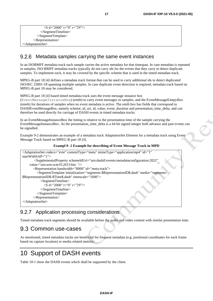```
 <S d="2000" t="0" r="29"/>
            </SegmentTimeline>
          </SegmentTemplate>
       </Representation>
</AdaptationSet>
```
#### 9.2.6 Metadata samples carrying the same event instances

In an ISOBMFF metadata track each sample carries the active metadata for that timespan. In case metadata is repeated in samples, ISO-BMFF metadata tracks typically do not carry ids for the events that they carry to detect duplicate samples. To implement such, it may be covered by the specific scheme that is used in the timed metadata track.

MPEG-B part 18 [4] defines a metadata track format that can be used to carry additional ids to detect duplicated ISO/IEC 23001-18 spanning multiple samples. In case duplicate event detection is required, metadata track based on MPEG-B part 18 may be considered.

MPEG-B part 18 [4] based timed metadata track uses the event message instance box (EventMessageInstanceBox) (emib) to carry event messages in samples, and the EventMessageEmtpyBox (emeb) for durations of samples when no event metadata is active. The emib box has fields that correspond to DASHEventMessageBox, namely scheme id uri, id, value, event duration and presentation time delta, and can therefore be used directly for carriage of DASH events in timed metadata tracks.

In an EventMessageInstanceBox the timing is relative to the presentation time of the sample carrying the EventMessageInstanceBox. As the presentation time delta is a 64 bit signed integer both advance and past events can be signalled.

Example 9-2 demonstrates an example of a metadata track AdaptationSet Element for a metadata track using Event Message Track based on MPEG-B part 18 [4].

#### **Exampl 9- 2 Example for describing of Event Message Track in MPD**

```
<AdaptationSet codecs="evte" contentType="meta" mimeType="application/mp4" id="1"
startWithSAP="1">
        <SupplementalProperty schemeIdUri="urn:dashif:events:metadataconfiguration:2022"
     value="urn:scte:scte35:2013:bin "/>
        <Representation bandwidth="8000" id="meta-track">
          <SegmentTemplate initialization="segments-$RepresentationID$.dash" media="segments-
$RepresentationID$-$Time$.dash" timescale="1000">
            <SegmentTimeline>
               <S d="2000" t="0" r="29"/>
            </SegmentTimeline>
          </SegmentTemplate>
        </Representation>
</AdaptationSet>
```
### 9.2.7 Application processing considerations

Timed metadata track segments should be available before the audio and video content with similar presentation time.

### 9.3 Common use-cases

As mentioned, timed metadata tracks are beneficial for frequent metadata (e.g. positional coordinates for each frame based on capture location) or media related metrics.

## 10 Support of DASH events

Table 10-1 show the DASH events which shall be supported by the client.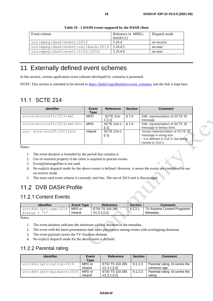<span id="page-17-0"></span>

| Event scheme                                 | Refenrece in MPEG-<br><b>DASH</b> [1] | Dispatch mode |
|----------------------------------------------|---------------------------------------|---------------|
| urn: mpeg: dash: event: 2012                 | 5.10.4                                | on-receive    |
| urn:mpeg:dash:event:callback:2015   5.10.4.5 |                                       | on-start      |
| urn: mpeg: dash: event: ttfn: 2016           | 5.10.4.6                              | on-start      |

#### **Table 10 - 1 DASH events supportd by the DASH client**

## 11 Externally defined event schemes

In this section, various application event schemes developed by consortia is presented.

NOTE: This section is intended to be moved to [https://dashif.org/identifiers/event\\_schemes/](https://dashif.org/identifiers/event_schemes/) and the link is kept here.

## 11.1 SCTE 214

| identifier                   | Event<br>Type | <b>Reference</b>            | <b>Section</b> | <b>Comment</b>                                                                                                      |
|------------------------------|---------------|-----------------------------|----------------|---------------------------------------------------------------------------------------------------------------------|
| urn:scte:scte35:2013:xml     | <b>MPD</b>    | <b>SCTE 214-</b><br>1 li.11 | 6.7.4          | XML representation of SCTE 35<br>message                                                                            |
| urn:scte:scte35:2014:xml+bin | <b>MPD</b>    | <b>SCTE 214-1</b><br>li. 11 | 6.7.4          | XML representation of SCTE 35<br>message in binary form.                                                            |
| urn: scte:scte35:2013:bin    | Inband        | <b>SCTE 214-1</b><br>[i.1]  |                | -binary representation of SCTE 35<br>message in emsg box.<br>- it is defined in 214-3, but being<br>moved in 214-1. |

Notes:

- 1. The event duration is bounded by the period that contains it.
- 2. Use of essential property if the client is required to process events.
- 3. Event@messageData is not used.
- 4. No explicit dispatch mode for the above events is defined. However, it seems the events are considered to use on-receive mode.
- 5. The most used event scheme is currently xml+bin. The use of 2013:xml is discouraged.

## 11.2 DVB DASH Profile

### 11.2.1 Content Events

| identifier                     | <b>Event Type</b> | Reference              | <b>Section</b> | <b>Comment</b>                     |
|--------------------------------|-------------------|------------------------|----------------|------------------------------------|
| urn:dvb:iptv:cpm:2014   MPD or |                   | <b>ETSI TS 103 285</b> | 9.1.2.1        | <b>TV-Anytime Content Programm</b> |
| M1<br>$\frac{d}{dx}$           | Inband            | $V1.3.1$ [i.2]         |                | Metadata                           |

Notes:

- 1. The event duration indicates the minimum validity duration of the metadata.
- 2. The event with the latest presentation time takes precedence among events with overlapping durations
- 3. The event payload carries the TV-Anytime element.
- 4. No explicit dispatch mode for the above event is defined.

### 11.2.2 Parental rating

| identifier                 | Event       | Reference              | <b>Section</b> | <b>Comment</b>                  |
|----------------------------|-------------|------------------------|----------------|---------------------------------|
|                            | <b>Type</b> |                        |                |                                 |
| urn:dvb:iptv:rating:2014   | MPD or      | <b>ETSI TS 103 285</b> | 9.1.2.3        | Parental rating. Id carries the |
|                            | inband      | $V1.3.1$ [i.2]         |                | minimum age.                    |
| urn:dvb:iptv:quidance:2014 | MPD or      | <b>ETSI TS 103 285</b> | 9.1.2.3        | Parental rating. Id carries the |
|                            | inband      | $V1.3.1$ [i.2]         |                | rating.                         |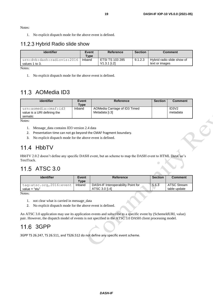Notes:

1. No explicit dispatch mode for the above event is defined.

### 11.2.3 Hybrid Radio slide show

| identifier                                     | Event<br>Type | <b>Reference</b>                         | <b>Section</b> | <b>Comment</b>                               |
|------------------------------------------------|---------------|------------------------------------------|----------------|----------------------------------------------|
| urn:dvb:dash:radiovis:2016  <br>values 1 to 3. | Inband        | <b>ETSI TS 103 285</b><br>$V1.3.1$ [i.2] | 9.1.2.3        | Hybrid radio slide show of<br>text or images |

Notes:

1. No explicit dispatch mode for the above event is defined.

## 11.3 AOMedia ID3

| identifier                                                     | Event<br><b>Type</b> | <b>Reference</b>                                | <b>Section</b> | <b>Comment</b>                             |
|----------------------------------------------------------------|----------------------|-------------------------------------------------|----------------|--------------------------------------------|
| urn:aomedia:cmaf:id3<br>value is a URI defining the<br>sematic | Inband               | AOMedia Carriage of ID3 Timed<br>Metadata [i.3] |                | ID <sub>3</sub> V <sub>2</sub><br>metadata |

Notes:

- 1. Message\_data contains ID3 version 2.4 data
- 2. Presentation time can not go beyond the CMAF fragment boundary.
- 3. No explicit dispatch mode for the above event is defined.

## 11.4 HbbTV

HbbTV 2.0.2 doesn't define any specific DASH event, but an scheme to map the DASH event to HTML DataCue's TextTrack.

## 11.5 ATSC 3.0

| identifier                                 | Event<br><b>Type</b> | <b>Reference</b>                                     | <b>Section</b> | <b>Comment</b>              |
|--------------------------------------------|----------------------|------------------------------------------------------|----------------|-----------------------------|
| tag:atsc.org, 2016: event<br>value = "stu" | Inband               | DASH-IF Interoperability Point for<br>ATSC 3.0 [i.4] | 5.6.3          | ATSC Stream<br>table update |

Notes:

- 1. not clear what is carried in message\_data
- 2. No explicit dispatch mode for the above event is defined.

An ATSC 3.0 application may use its application events and subscribe to a specific event by (SchemeIdURI, value) pair. However, the dispatch model of events is not specified in the ATSC 3.0 DASH client processing model.

## 11.6 3GPP

3GPP TS 26.247, TS 26.511, and TS26.512 do not define any specific event scheme.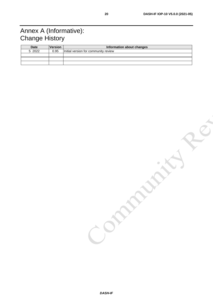## Annex A (Informative): Change History

| <b>Date</b> | <b>Version</b> | Information about changes            |
|-------------|----------------|--------------------------------------|
| 5 2022      | 0.95           | Initial version for community review |
|             |                |                                      |
|             |                |                                      |
|             |                |                                      |

IND